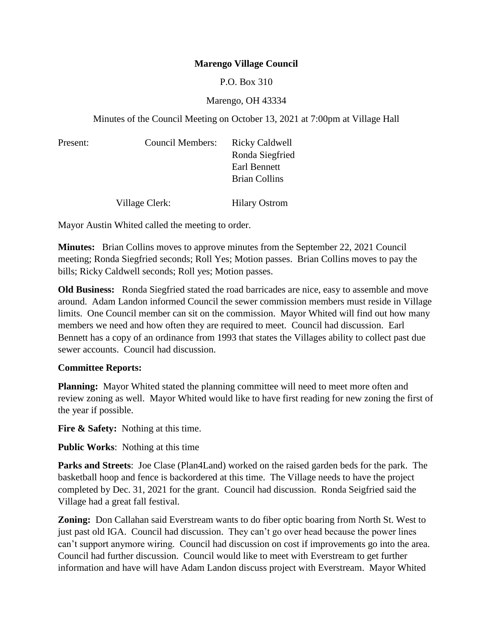## **Marengo Village Council**

P.O. Box 310

## Marengo, OH 43334

Minutes of the Council Meeting on October 13, 2021 at 7:00pm at Village Hall

| Present: | Council Members: | <b>Ricky Caldwell</b><br>Ronda Siegfried<br>Earl Bennett<br><b>Brian Collins</b> |
|----------|------------------|----------------------------------------------------------------------------------|
|          | Village Clerk:   | <b>Hilary Ostrom</b>                                                             |

Mayor Austin Whited called the meeting to order.

**Minutes:** Brian Collins moves to approve minutes from the September 22, 2021 Council meeting; Ronda Siegfried seconds; Roll Yes; Motion passes. Brian Collins moves to pay the bills; Ricky Caldwell seconds; Roll yes; Motion passes.

**Old Business:** Ronda Siegfried stated the road barricades are nice, easy to assemble and move around. Adam Landon informed Council the sewer commission members must reside in Village limits. One Council member can sit on the commission. Mayor Whited will find out how many members we need and how often they are required to meet. Council had discussion. Earl Bennett has a copy of an ordinance from 1993 that states the Villages ability to collect past due sewer accounts. Council had discussion.

## **Committee Reports:**

**Planning:** Mayor Whited stated the planning committee will need to meet more often and review zoning as well. Mayor Whited would like to have first reading for new zoning the first of the year if possible.

**Fire & Safety:** Nothing at this time.

**Public Works**: Nothing at this time

**Parks and Streets**: Joe Clase (Plan4Land) worked on the raised garden beds for the park. The basketball hoop and fence is backordered at this time. The Village needs to have the project completed by Dec. 31, 2021 for the grant. Council had discussion. Ronda Seigfried said the Village had a great fall festival.

**Zoning:** Don Callahan said Everstream wants to do fiber optic boaring from North St. West to just past old IGA. Council had discussion. They can't go over head because the power lines can't support anymore wiring. Council had discussion on cost if improvements go into the area. Council had further discussion. Council would like to meet with Everstream to get further information and have will have Adam Landon discuss project with Everstream. Mayor Whited